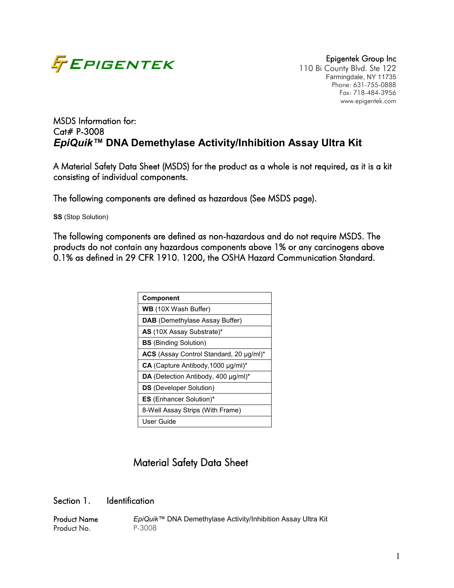

110 Bi County Blvd. Ste 122 Farmingdale, NY 11735 Phone: 631-755-0888 Fax: 718-484-3956 www.epigentek.com

# MSDS Information for: Cat# P-3008 *EpiQuik™* **DNA Demethylase Activity/Inhibition Assay Ultra Kit**

A Material Safety Data Sheet (MSDS) for the product as a whole is not required, as it is a kit consisting of individual components.

The following components are defined as hazardous (See MSDS page).

**SS** (Stop Solution)

The following components are defined as non-hazardous and do not require MSDS. The products do not contain any hazardous components above 1% or any carcinogens above 0.1% as defined in 29 CFR 1910. 1200, the OSHA Hazard Communication Standard.

| <b>Component</b>                          |
|-------------------------------------------|
| <b>WB</b> (10X Wash Buffer)               |
| <b>DAB</b> (Demethylase Assay Buffer)     |
| AS (10X Assay Substrate)*                 |
| <b>BS</b> (Binding Solution)              |
| ACS (Assay Control Standard, 20 µg/ml)*   |
| $CA$ (Capture Antibody, 1000 $\mu$ g/ml)* |
| DA (Detection Antibody, 400 µg/ml)*       |
| <b>DS</b> (Developer Solution)            |
| <b>ES</b> (Enhancer Solution)*            |
| 8-Well Assay Strips (With Frame)          |
| User Guide                                |

# Material Safety Data Sheet

#### Section 1. Identification

Product Name *EpiQuik™* DNA Demethylase Activity/Inhibition Assay Ultra Kit<br>Product No. P-3008 Product No.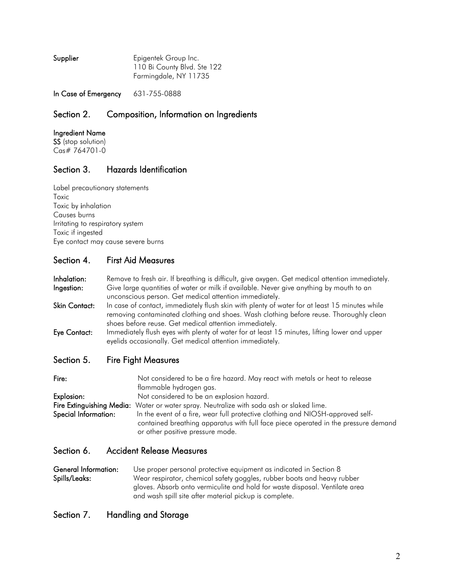| Epigentek Group Inc.        |
|-----------------------------|
| 110 Bi County Blvd. Ste 122 |
| Farmingdale, NY 11735       |
|                             |

In Case of Emergency 631-755-0888

### Section 2. Composition, Information on Ingredients

#### Ingredient Name

SS (stop solution) Cas# 764701-0

## Section 3. Hazards Identification

Label precautionary statements Toxic Toxic by inhalation Causes burns Irritating to respiratory system Toxic if ingested Eye contact may cause severe burns

### Section 4. First Aid Measures

Inhalation: Remove to fresh air. If breathing is difficult, give oxygen. Get medical attention immediately. **Ingestion:** Give large quantities of water or milk if available. Never give anything by mouth to an unconscious person. Get medical attention immediately.

- Skin Contact: In case of contact, immediately flush skin with plenty of water for at least 15 minutes while removing contaminated clothing and shoes. Wash clothing before reuse. Thoroughly clean shoes before reuse. Get medical attention immediately.
- Eye Contact: Immediately flush eyes with plenty of water for at least 15 minutes, lifting lower and upper eyelids occasionally. Get medical attention immediately.

#### Section 5. Fire Fight Measures

| Fire:                | Not considered to be a fire hazard. May react with metals or heat to release             |
|----------------------|------------------------------------------------------------------------------------------|
|                      | flammable hydrogen gas.                                                                  |
| Explosion:           | Not considered to be an explosion hazard.                                                |
|                      | Fire Extinguishing Media: Water or water spray. Neutralize with soda ash or slaked lime. |
| Special Information: | In the event of a fire, wear full protective clothing and NIOSH-approved self-           |
|                      | contained breathing apparatus with full face piece operated in the pressure demand       |
|                      | or other positive pressure mode.                                                         |

#### Section 6. Accident Release Measures

General Information: Use proper personal protective equipment as indicated in Section 8 Spills/Leaks: Wear respirator, chemical safety goggles, rubber boots and heavy rubber gloves. Absorb onto vermiculite and hold for waste disposal. Ventilate area and wash spill site after material pickup is complete.

### Section 7. Handling and Storage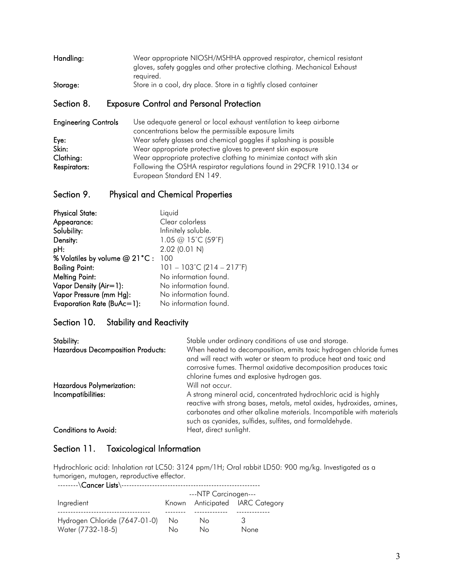| Handling: | Wear appropriate NIOSH/MSHHA approved respirator, chemical resistant     |
|-----------|--------------------------------------------------------------------------|
|           | gloves, safety goggles and other protective clothing. Mechanical Exhaust |
|           | reauired.                                                                |
| Storage:  | Store in a cool, dry place. Store in a tightly closed container          |

### Section 8. Exposure Control and Personal Protection

| <b>Engineering Controls</b> | Use adequate general or local exhaust ventilation to keep airborne   |  |  |  |
|-----------------------------|----------------------------------------------------------------------|--|--|--|
|                             | concentrations below the permissible exposure limits                 |  |  |  |
| Eye:                        | Wear safety glasses and chemical goggles if splashing is possible    |  |  |  |
| Skin:                       | Wear appropriate protective gloves to prevent skin exposure          |  |  |  |
| Clothing:                   | Wear appropriate protective clothing to minimize contact with skin   |  |  |  |
| Respirators:                | Following the OSHA respirator regulations found in 29CFR 1910.134 or |  |  |  |
|                             | European Standard EN 149.                                            |  |  |  |

## Section 9. Physical and Chemical Properties

| <b>Physical State:</b>         | Liquid                                         |
|--------------------------------|------------------------------------------------|
| Appearance:                    | Clear colorless                                |
| Solubility:                    | Infinitely soluble.                            |
| Density:                       | 1.05 @ 15°C (59°F)                             |
| pH:                            | 2.02 (0.01 N)                                  |
| % Volatiles by volume @ 21°C : | 100                                            |
| <b>Boiling Point:</b>          | $101 - 103^{\circ}$ C (214 – 217 $^{\circ}$ F) |
| <b>Melting Point:</b>          | No information found.                          |
| Vapor Density (Air=1):         | No information found.                          |
| Vapor Pressure (mm Hg):        | No information found.                          |
| Evaporation Rate (BuAc=1):     | No information found.                          |

### Section 10. Stability and Reactivity

| Stability:<br><b>Hazardous Decomposition Products:</b> | Stable under ordinary conditions of use and storage.<br>When heated to decomposition, emits toxic hydrogen chloride fumes<br>and will react with water or steam to produce heat and toxic and<br>corrosive fumes. Thermal oxidative decomposition produces toxic<br>chlorine fumes and explosive hydrogen gas. |  |  |
|--------------------------------------------------------|----------------------------------------------------------------------------------------------------------------------------------------------------------------------------------------------------------------------------------------------------------------------------------------------------------------|--|--|
| Hazardous Polymerization:<br>Incompatibilities:        | Will not occur.<br>A strong mineral acid, concentrated hydrochloric acid is highly<br>reactive with strong bases, metals, metal oxides, hydroxides, amines,<br>carbonates and other alkaline materials. Incompatible with materials<br>such as cyanides, sulfides, sulfites, and formaldehyde.                 |  |  |
| <b>Conditions to Avoid:</b>                            | Heat, direct sunlight.                                                                                                                                                                                                                                                                                         |  |  |

### Section 11. Toxicological Information

Hydrochloric acid: Inhalation rat LC50: 3124 ppm/1H; Oral rabbit LD50: 900 mg/kg. Investigated as a tumorigen, mutagen, reproductive effector.

 --------\Cancer Lists\------------------------------------------------------ ---NTP Carcinogen--- Ingredient **Known** Anticipated IARC Category ------------------------------------ -------- ------------- ------------- Hydrogen Chloride (7647-01-0) No No Water (7732-18-5) No No None